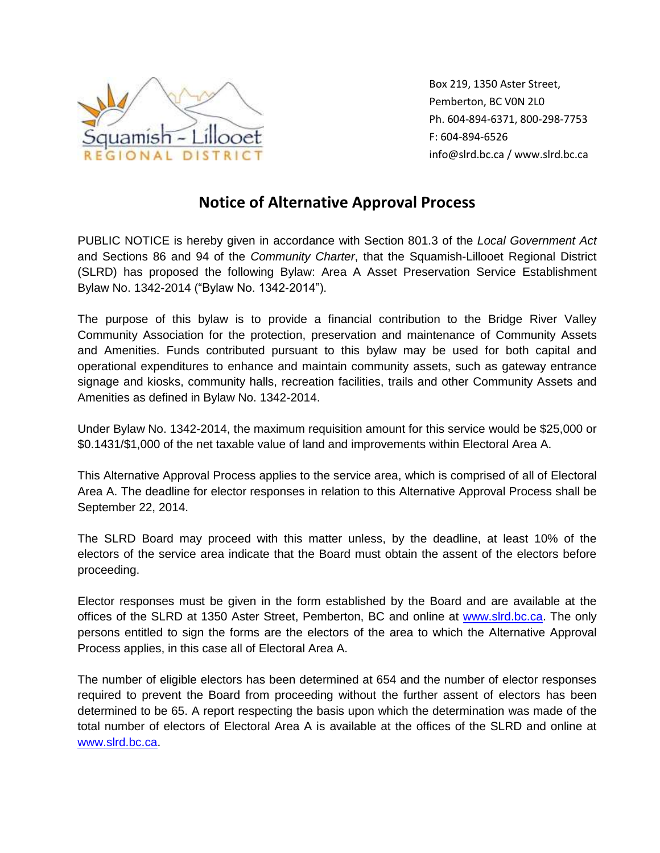

Box 219, 1350 Aster Street, Pemberton, BC V0N 2L0 Ph. 604-894-6371, 800-298-7753 F: 604-894-6526 info@slrd.bc.ca / www.slrd.bc.ca

## **Notice of Alternative Approval Process**

PUBLIC NOTICE is hereby given in accordance with Section 801.3 of the *Local Government Act* and Sections 86 and 94 of the *Community Charter*, that the Squamish-Lillooet Regional District (SLRD) has proposed the following Bylaw: Area A Asset Preservation Service Establishment Bylaw No. 1342-2014 ("Bylaw No. 1342-2014").

The purpose of this bylaw is to provide a financial contribution to the Bridge River Valley Community Association for the protection, preservation and maintenance of Community Assets and Amenities. Funds contributed pursuant to this bylaw may be used for both capital and operational expenditures to enhance and maintain community assets, such as gateway entrance signage and kiosks, community halls, recreation facilities, trails and other Community Assets and Amenities as defined in Bylaw No. 1342-2014.

Under Bylaw No. 1342-2014, the maximum requisition amount for this service would be \$25,000 or \$0.1431/\$1,000 of the net taxable value of land and improvements within Electoral Area A.

This Alternative Approval Process applies to the service area, which is comprised of all of Electoral Area A. The deadline for elector responses in relation to this Alternative Approval Process shall be September 22, 2014.

The SLRD Board may proceed with this matter unless, by the deadline, at least 10% of the electors of the service area indicate that the Board must obtain the assent of the electors before proceeding.

Elector responses must be given in the form established by the Board and are available at the offices of the SLRD at 1350 Aster Street, Pemberton, BC and online at [www.slrd.bc.ca.](http://www.slrd.bc.ca/) The only persons entitled to sign the forms are the electors of the area to which the Alternative Approval Process applies, in this case all of Electoral Area A.

The number of eligible electors has been determined at 654 and the number of elector responses required to prevent the Board from proceeding without the further assent of electors has been determined to be 65. A report respecting the basis upon which the determination was made of the total number of electors of Electoral Area A is available at the offices of the SLRD and online at [www.slrd.bc.ca.](http://www.slrd.bc.ca/)